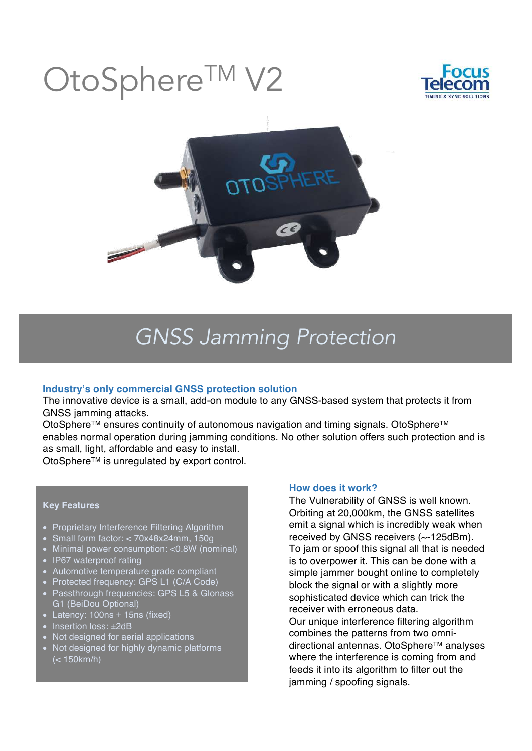# OtoSphere<sup>TM</sup>





## *GNSS Jamming Protection*

### **Industry's only commercial GNSS protection solution**

The innovative device is a small, add-on module to any GNSS-based system that protects it from GNSS jamming attacks.

OtoSphere<sup>™</sup> ensures continuity of autonomous navigation and timing signals. OtoSphere<sup>™</sup> enables normal operation during jamming conditions. No other solution offers such protection and is as small, light, affordable and easy to install.

OtoSphereTM is unregulated by export control.

#### **Key Features**

- Proprietary Interference Filtering Algorithm
- Small form factor: < 70x48x24mm, 150g
- Minimal power consumption: <0.8W (nominal)
- IP67 waterproof rating
- Automotive temperature grade compliant
- Protected frequency: GPS L1 (C/A Code)
- Passthrough frequencies: GPS L5 & Glonass G1 (BeiDou Optional)
- Latency:  $100ns \pm 15ns$  (fixed)
- Insertion loss: ±2dB
- Not designed for aerial applications
- Not designed for highly dynamic platforms (< 150km/h)

#### **How does it work?**

The Vulnerability of GNSS is well known. Orbiting at 20,000km, the GNSS satellites emit a signal which is incredibly weak when received by GNSS receivers (~-125dBm). To jam or spoof this signal all that is needed is to overpower it. This can be done with a simple jammer bought online to completely block the signal or with a slightly more sophisticated device which can trick the receiver with erroneous data.

Our unique interference filtering algorithm combines the patterns from two omnidirectional antennas. OtoSphere™ analyses where the interference is coming from and feeds it into its algorithm to filter out the jamming / spoofing signals.